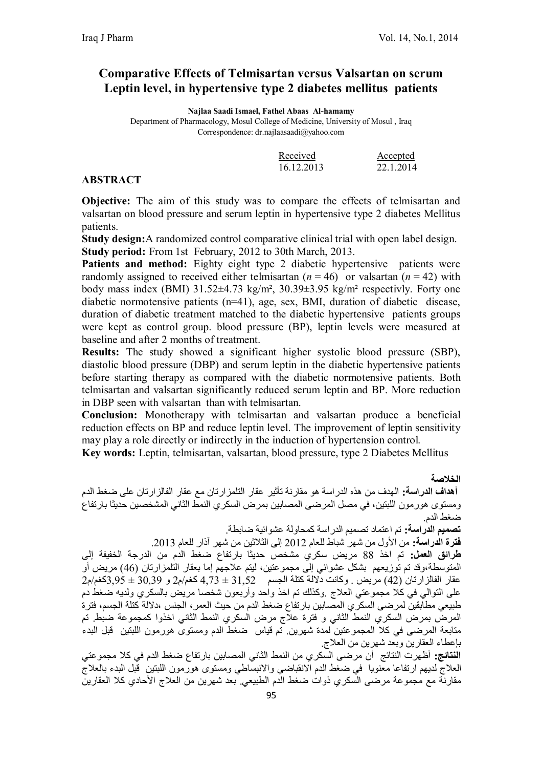## **Comparative Effects of Telmisartan versus Valsartan on serum Leptin level, in hypertensive type 2 diabetes mellitus patients**

**Najlaa Saadi Ismael, Fathel Abaas Al-hamamy**

Department of Pharmacology, Mosul College of Medicine, University of Mosul , Iraq Correspondence: dr.najlaasaadi@yahoo.com

| Received   | Accepted  |
|------------|-----------|
| 16 12 2013 | 22 1 2014 |

#### **ABSTRACT**

**Objective:** The aim of this study was to compare the effects of telmisartan and valsartan on blood pressure and serum leptin in hypertensive type 2 diabetes Mellitus patients.

**Study design:**A randomized control comparative clinical trial with open label design. **Study period:** From 1st February, 2012 to 30th March, 2013.

Patients and method: Eighty eight type 2 diabetic hypertensive patients were randomly assigned to received either telmisartan  $(n = 46)$  or valsartan  $(n = 42)$  with body mass index (BMI) 31.52±4.73 kg/m², 30.39±3.95 kg/m² respectivly. Forty one diabetic normotensive patients (n=41), age, sex, BMI, duration of diabetic disease, duration of diabetic treatment matched to the diabetic hypertensive patients groups were kept as control group. blood pressure (BP), leptin levels were measured at baseline and after 2 months of treatment.

**Results:** The study showed a significant higher systolic blood pressure (SBP), diastolic blood pressure (DBP) and serum leptin in the diabetic hypertensive patients before starting therapy as compared with the diabetic normotensive patients. Both telmisartan and valsartan significantly reduced serum leptin and BP. More reduction in DBP seen with valsartan than with telmisartan.

**Conclusion:** Monotherapy with telmisartan and valsartan produce a beneficial reduction effects on BP and reduce leptin level. The improvement of leptin sensitivity may play a role directly or indirectly in the induction of hypertension control.

**Key words:** Leptin, telmisartan, valsartan, blood pressure, type 2 Diabetes Mellitus

**الخلاصة أھداف الدراسة:** الھدف من ھذه الدراسة ھو مقارنة تأثیر عقار التلمزارتان مع عقار الفالزارتان على ضغط الدم ومستوى ھورمون اللبتین، في مصل المرضى المصابین بمرض السكري النمط الثاني المشخصین حدیثا بارتفاع ضغط الدم. **تصمیم الدراسة:** تم اعتماد تصمیم الدراسة كمحاولة عشوائیة ضابطة. **فترة الدراسة:** من الأول من شھر شباط للعام 2012 إلى الثلاثین من شھر آذار للعام .2013 **طرائق العمل:** تم اخذ 88 مریض سكري مشخص حدیثا بارتفاع ضغط الدم من الدرجة الخفیفة إلى المتوسطة،وقد تم توزیعھم بشكل عشوائي إلى مجموعتین، لیتم علاجھم إما بعقار التلمزارتان (46) مریض أو عقار الفالزارتان (42) مریض . وكانت دلالة كتلة الجسم 31,52 ± 4,73 كغم/م2 و 30,39 ± 3,95كغم/م2 على التوالي في كلا مجموعتي العلاج .وكذلك تم اخذ واحد وأربعون شخصا مریض بالسكري ولدیھ ضغط دم طبیعي مطابقین لمرضى السكري المصابین بارتفاع ضغط الدم من حیث العمر، الجنس ،دلالة كتلة الجسم، فترة المرض بمرض السكري النمط الثاني و فترة علاج مرض السكري النمط الثاني اخذوا كمجموعة ضبط. تم متابعة المرضى في كلا المجموعتین لمدة شھرین. تم قیاس ضغط الدم ومستوى ھورمون اللبتین قبل البدء بإعطاء العقارین وبعد شھرین من العلاج.

**النتائج:** أظھرت النتائج أن مرضى السكري من النمط الثاني المصابین بارتفاع ضغط الدم في كلا مجموعتي العلاج لدیھم ارتفاعا معنویا في ضغط الدم الانقباضي والانبساطي ومستوى ھورمون اللبتین قبل البدء بالعلاج مقارنة مع مجموعة مرضى السكري ذوات ضغط الدم الطبیعي. بعد شھرین من العلاج الأحادي كلا العقارین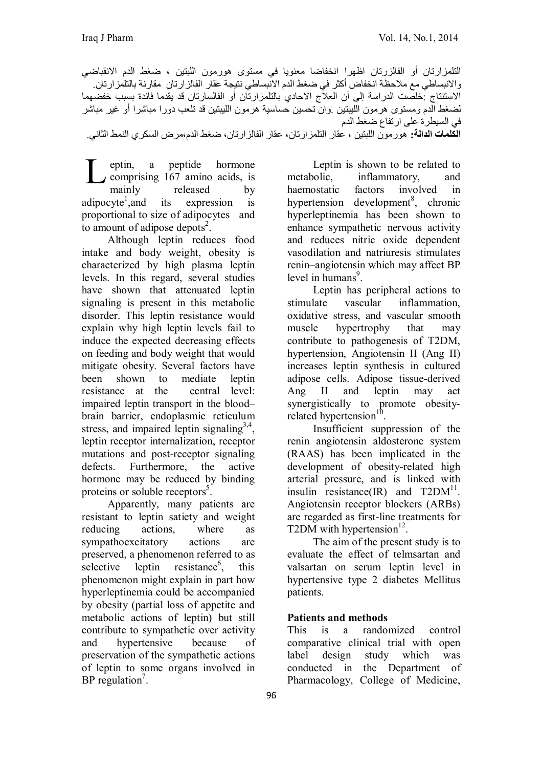التلمزارتان أو الفالزرتان اظھرا انخفاضا معنویا في مستوى ھورمون اللبتین ، ضغط الدم الانقباضي والانبساطي مع ملاحظة انخفاض أكثر في ضغط الدم الانبساطي نتیجة عقار الفالزارتان مقارنة بالتلمزارتان. الاستنتاج :خلصت الدراسة إلى أن العلاج الاحادي بالتلمزارتان أو الفالسارتان قد یقدما فائدة بسبب خفضھما لضغط الدم ومستوى ھرمون اللیبتین .وان تحسین حساسیة ھرمون اللیبتین قد تلعب دورا مباشرا أو غیر مباشر في السیطرة على ارتفاع ضغط الدم **الكلمات الدالة:** ھورمون اللبتین ، عقار التلمزارتان، عقار الفالزارتان، ضغط الدم،مرض السكري النمط الثاني.

eptin, a peptide hormone comprising 167 amino acids, is mainly released by adipocyte<sup>1</sup>, and its expression is proportional to size of adipocytes and to amount of adipose depots $2$ . L

Although leptin reduces food intake and body weight, obesity is characterized by high plasma leptin levels. In this regard, several studies have shown that attenuated leptin signaling is present in this metabolic disorder. This leptin resistance would explain why high leptin levels fail to induce the expected decreasing effects on feeding and body weight that would mitigate obesity. Several factors have been shown to mediate leptin resistance at the central level: impaired leptin transport in the blood– brain barrier, endoplasmic reticulum stress, and impaired leptin signaling<sup>3,4</sup>, leptin receptor internalization, receptor mutations and post-receptor signaling defects. Furthermore, the active hormone may be reduced by binding proteins or soluble receptors<sup>5</sup>.

Apparently, many patients are resistant to leptin satiety and weight reducing actions, where as sympathoexcitatory actions are preserved, a phenomenon referred to as selective leptin resistance<sup>6</sup>, , this phenomenon might explain in part how hyperleptinemia could be accompanied by obesity (partial loss of appetite and metabolic actions of leptin) but still contribute to sympathetic over activity and hypertensive because of preservation of the sympathetic actions of leptin to some organs involved in BP regulation<sup>7</sup>.

Leptin is shown to be related to metabolic, inflammatory, and haemostatic factors involved in hypertension development<sup>8</sup>, chronic hyperleptinemia has been shown to enhance sympathetic nervous activity and reduces nitric oxide dependent vasodilation and natriuresis stimulates renin–angiotensin which may affect BP level in humans<sup>9</sup>.

Leptin has peripheral actions to stimulate vascular inflammation, oxidative stress, and vascular smooth muscle hypertrophy that may contribute to pathogenesis of T2DM, hypertension, Angiotensin II (Ang II) increases leptin synthesis in cultured adipose cells. Adipose tissue-derived Ang II and leptin may act synergistically to promote obesityrelated hypertension $10$ .

Insufficient suppression of the renin angiotensin aldosterone system (RAAS) has been implicated in the development of obesity-related high arterial pressure, and is linked with insulin resistance(IR) and  $T2DM<sup>11</sup>$ . Angiotensin receptor blockers (ARBs) are regarded as first-line treatments for T2DM with hypertension $^{12}$ .

The aim of the present study is to evaluate the effect of telmsartan and valsartan on serum leptin level in hypertensive type 2 diabetes Mellitus patients.

#### **Patients and methods**

This is a randomized control comparative clinical trial with open label design study which was conducted in the Department of Pharmacology, College of Medicine,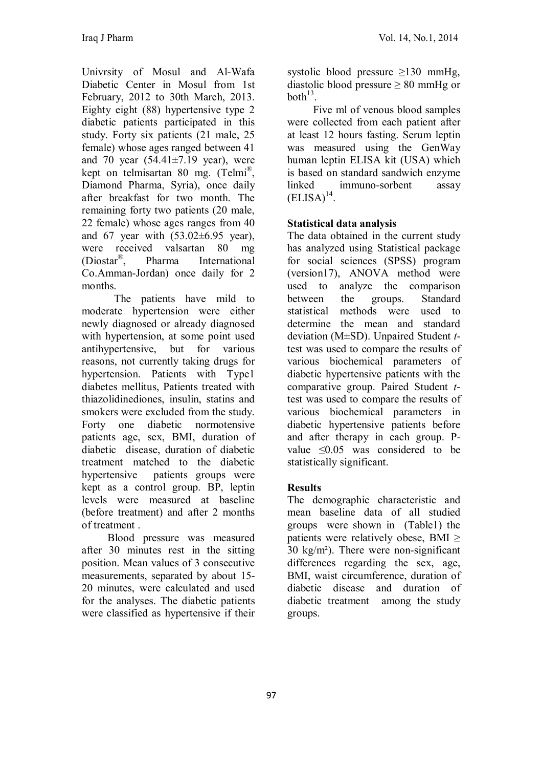Univrsity of Mosul and Al-Wafa Diabetic Center in Mosul from 1st February, 2012 to 30th March, 2013. Eighty eight (88) hypertensive type 2 diabetic patients participated in this study. Forty six patients (21 male, 25 female) whose ages ranged between 41 and 70 year  $(54.41\pm7.19$  year), were kept on telmisartan 80 mg. (Telmi® , Diamond Pharma, Syria), once daily after breakfast for two month. The remaining forty two patients (20 male, 22 female) whose ages ranges from 40 and 67 year with  $(53.02\pm6.95 \text{ year})$ , were received valsartan 80 mg (Diostar® Pharma International Co.Amman-Jordan) once daily for 2 months.

The patients have mild to moderate hypertension were either newly diagnosed or already diagnosed with hypertension, at some point used antihypertensive, but for various reasons, not currently taking drugs for hypertension. Patients with Type1 diabetes mellitus, Patients treated with thiazolidinediones, insulin, statins and smokers were excluded from the study. Forty one diabetic normotensive patients age, sex, BMI, duration of diabetic disease, duration of diabetic treatment matched to the diabetic hypertensive patients groups were kept as a control group. BP, leptin levels were measured at baseline (before treatment) and after 2 months of treatment .

Blood pressure was measured after 30 minutes rest in the sitting position. Mean values of 3 consecutive measurements, separated by about 15- 20 minutes, were calculated and used for the analyses. The diabetic patients were classified as hypertensive if their

systolic blood pressure  $\geq 130$  mmHg, diastolic blood pressure  $\geq 80$  mmHg or  $both<sup>13</sup>$ .

Five ml of venous blood samples were collected from each patient after at least 12 hours fasting. Serum leptin was measured using the GenWay human leptin ELISA kit (USA) which is based on standard sandwich enzyme linked immuno-sorbent assay  $(ELISA)^{14}$ .

## **Statistical data analysis**

The data obtained in the current study has analyzed using Statistical package for social sciences (SPSS) program (version17), ANOVA method were used to analyze the comparison between the groups. Standard statistical methods were used to determine the mean and standard deviation (M±SD). Unpaired Student *t*test was used to compare the results of various biochemical parameters of diabetic hypertensive patients with the comparative group. Paired Student *t*test was used to compare the results of various biochemical parameters in diabetic hypertensive patients before and after therapy in each group. Pvalue  $\leq 0.05$  was considered to be statistically significant.

## **Results**

The demographic characteristic and mean baseline data of all studied groups were shown in (Table1) the patients were relatively obese, BMI  $\geq$ 30 kg/m²). There were non-significant differences regarding the sex, age, BMI, waist circumference, duration of diabetic disease and duration of diabetic treatment among the study groups.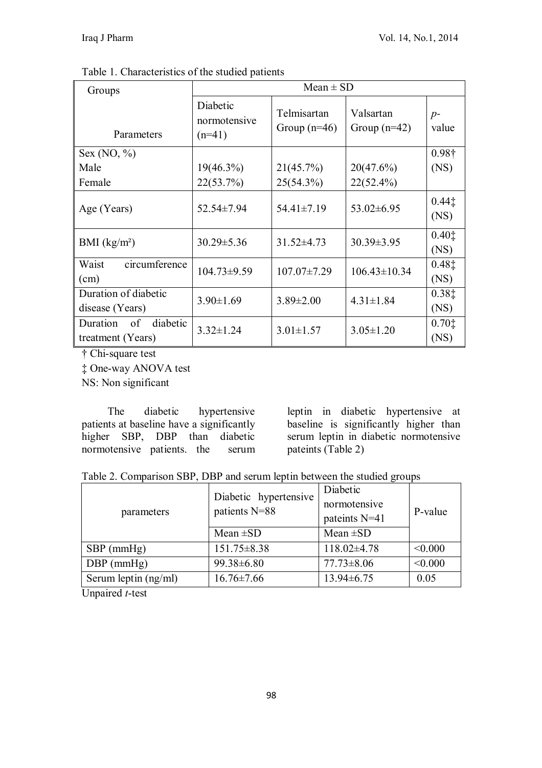| Groups                                          | $Mean \pm SD$                        |                               |                             |               |
|-------------------------------------------------|--------------------------------------|-------------------------------|-----------------------------|---------------|
| Parameters                                      | Diabetic<br>normotensive<br>$(n=41)$ | Telmisartan<br>Group $(n=46)$ | Valsartan<br>Group $(n=42)$ | $p-$<br>value |
| Sex $(NO, %)$                                   |                                      |                               |                             | $0.98\dagger$ |
| Male                                            | $19(46.3\%)$                         | 21(45.7%)                     | 20(47.6%)                   | (NS)          |
| Female                                          | 22(53.7%)                            | $25(54.3\%)$                  | $22(52.4\%)$                |               |
| Age (Years)                                     | 52.54±7.94                           | $54.41 \pm 7.19$              | $53.02 \pm 6.95$            | 0.441<br>(NS) |
| BMI $(kg/m2)$                                   | $30.29 \pm 5.36$                     | 31.52±4.73                    | $30.39 \pm 3.95$            | 0.401<br>(NS) |
| circumference<br>Waist<br>(cm)                  | $104.73 \pm 9.59$                    | $107.07 \pm 7.29$             | $106.43 \pm 10.34$          | 0.481<br>(NS) |
| Duration of diabetic<br>disease (Years)         | $3.90 \pm 1.69$                      | $3.89 \pm 2.00$               | $4.31 \pm 1.84$             | 0.381<br>(NS) |
| diabetic<br>Duration<br>of<br>treatment (Years) | $3.32 \pm 1.24$                      | $3.01 \pm 1.57$               | $3.05 \pm 1.20$             | 0.701<br>(NS) |

Table 1. Characteristics of the studied patients

† Chi-square test

‡ One-way ANOVA test

NS: Non significant

The diabetic hypertensive patients at baseline have a significantly higher SBP, DBP than diabetic normotensive patients. the serum leptin in diabetic hypertensive at baseline is significantly higher than serum leptin in diabetic normotensive pateints (Table 2)

|  |  | Table 2. Comparison SBP, DBP and serum leptin between the studied groups |  |
|--|--|--------------------------------------------------------------------------|--|
|--|--|--------------------------------------------------------------------------|--|

| parameters           | Diabetic hypertensive<br>patients N=88 | Diabetic<br>normotensive<br>pateints N=41 | P-value |  |
|----------------------|----------------------------------------|-------------------------------------------|---------|--|
|                      | Mean $\pm SD$                          | Mean $\pm SD$                             |         |  |
| $SBP$ (mmHg)         | $151.75 \pm 8.38$                      | $118.02\pm4.78$                           | < 0.000 |  |
| $DBP$ (mmHg)         | 99.38±6.80                             | $77.73 \pm 8.06$                          | < 0.000 |  |
| Serum leptin (ng/ml) | $16.76 \pm 7.66$                       | $13.94\pm 6.75$                           | 0.05    |  |

Unpaired *t*-test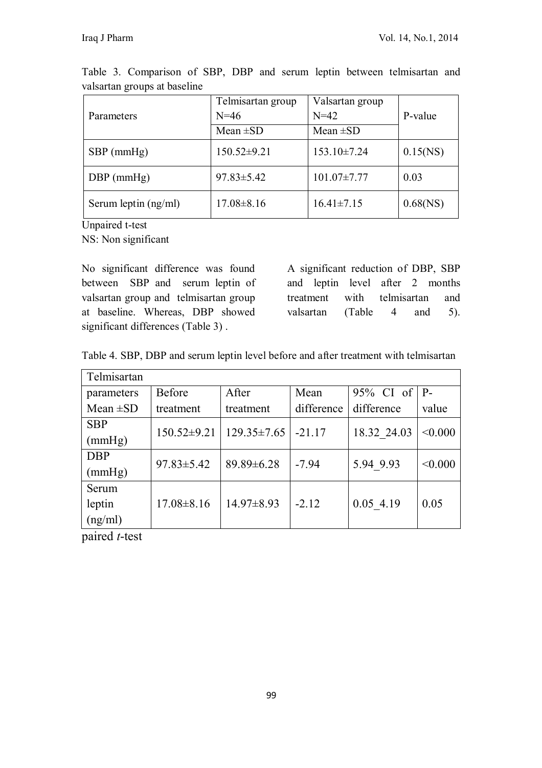| Parameters           | Telmisartan group<br>$N = 46$ | Valsartan group<br>$N=42$ | P-value     |
|----------------------|-------------------------------|---------------------------|-------------|
|                      | Mean $\pm SD$                 | Mean $\pm SD$             |             |
| $SBP$ (mmHg)         | $150.52 \pm 9.21$             | $153.10\pm7.24$           | $0.15$ (NS) |
| $DBP$ (mmHg)         | $97.83 \pm 5.42$              | $101.07 \pm 7.77$         | 0.03        |
| Serum leptin (ng/ml) | $17.08 \pm 8.16$              | $16.41 \pm 7.15$          | $0.68$ (NS) |

Table 3. Comparison of SBP, DBP and serum leptin between telmisartan and valsartan groups at baseline

Unpaired t-test

NS: Non significant

No significant difference was found between SBP and serum leptin of valsartan group and telmisartan group at baseline. Whereas, DBP showed significant differences (Table 3).

A significant reduction of DBP, SBP and leptin level after 2 months treatment with telmisartan and valsartan (Table 4 and 5).

|  |  | Table 4. SBP, DBP and serum leptin level before and after treatment with telmisartan |  |  |  |
|--|--|--------------------------------------------------------------------------------------|--|--|--|
|--|--|--------------------------------------------------------------------------------------|--|--|--|

| Telmisartan   |                   |                   |            |              |         |
|---------------|-------------------|-------------------|------------|--------------|---------|
| parameters    | <b>Before</b>     | After             | Mean       | $95\%$ CI of | P-      |
| Mean $\pm SD$ | treatment         | treatment         | difference | difference   | value   |
| <b>SBP</b>    | $150.52 \pm 9.21$ | $129.35 \pm 7.65$ | $-21.17$   | 18.32 24.03  | < 0.000 |
| (mmHg)        |                   |                   |            |              |         |
| <b>DBP</b>    | $97.83 \pm 5.42$  | 89.89±6.28        | $-7.94$    | 5.94 9.93    | < 0.000 |
| (mmHg)        |                   |                   |            |              |         |
| Serum         |                   |                   |            |              |         |
| leptin        | $17.08 \pm 8.16$  | $14.97\pm8.93$    | $-2.12$    | $0.05$ 4.19  | 0.05    |
| (ng/ml)       |                   |                   |            |              |         |

paired *t*-test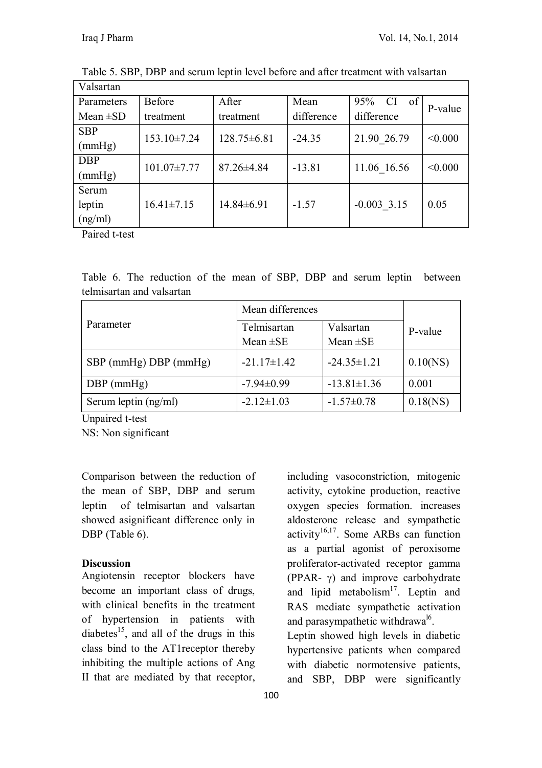| Valsartan     |                   |                   |            |                        |         |
|---------------|-------------------|-------------------|------------|------------------------|---------|
| Parameters    | Before            | After             | Mean       | 95%<br><b>CI</b><br>of | P-value |
| Mean $\pm SD$ | treatment         | treatment         | difference | difference             |         |
| <b>SBP</b>    | $153.10\pm7.24$   | $128.75 \pm 6.81$ | $-24.35$   | 21.90 26.79            | < 0.000 |
| (mmHg)        |                   |                   |            |                        |         |
| <b>DBP</b>    | $101.07 \pm 7.77$ | $87.26 \pm 4.84$  | $-13.81$   | 11.06 16.56            | < 0.000 |
| (mmHg)        |                   |                   |            |                        |         |
| Serum         |                   |                   |            |                        |         |
| leptin        | $16.41 \pm 7.15$  | $14.84\pm 6.91$   | $-1.57$    | $-0.003$ 3.15          | 0.05    |
| (ng/ml)       |                   |                   |            |                        |         |

Table 5. SBP, DBP and serum leptin level before and after treatment with valsartan

Paired t-test

Table 6. The reduction of the mean of SBP, DBP and serum leptin between telmisartan and valsartan

|                        | Mean differences                                           |                   |             |
|------------------------|------------------------------------------------------------|-------------------|-------------|
| Parameter              | Telmisartan<br>Valsartan<br>Mean $\pm$ SE<br>Mean $\pm$ SE |                   | P-value     |
| SBP (mmHg) DBP (mmHg)  | $-21.17 \pm 1.42$                                          | $-24.35 \pm 1.21$ | 0.10(NS)    |
| $DBP$ (mmHg)           | $-7.94\pm0.99$                                             | $-13.81 \pm 1.36$ | 0.001       |
| Serum leptin $(ng/ml)$ | $-2.12 \pm 1.03$                                           | $-1.57 \pm 0.78$  | $0.18$ (NS) |

Unpaired t-test

NS: Non significant

Comparison between the reduction of the mean of SBP, DBP and serum leptin of telmisartan and valsartan showed asignificant difference only in DBP (Table 6).

#### **Discussion**

Angiotensin receptor blockers have become an important class of drugs, with clinical benefits in the treatment of hypertension in patients with diabetes<sup>15</sup>, and all of the drugs in this class bind to the AT1receptor thereby inhibiting the multiple actions of Ang II that are mediated by that receptor,

100

including vasoconstriction, mitogenic activity, cytokine production, reactive oxygen species formation. increases aldosterone release and sympathetic  $\arctivity$ <sup>16,17</sup>. Some ARBs can function as a partial agonist of peroxisome proliferator-activated receptor gamma (PPAR- $\gamma$ ) and improve carbohydrate and lipid metabolism<sup>17</sup>. Leptin and RAS mediate sympathetic activation and parasympathetic withdrawa<sup>16</sup>.

Leptin showed high levels in diabetic hypertensive patients when compared with diabetic normotensive patients, and SBP, DBP were significantly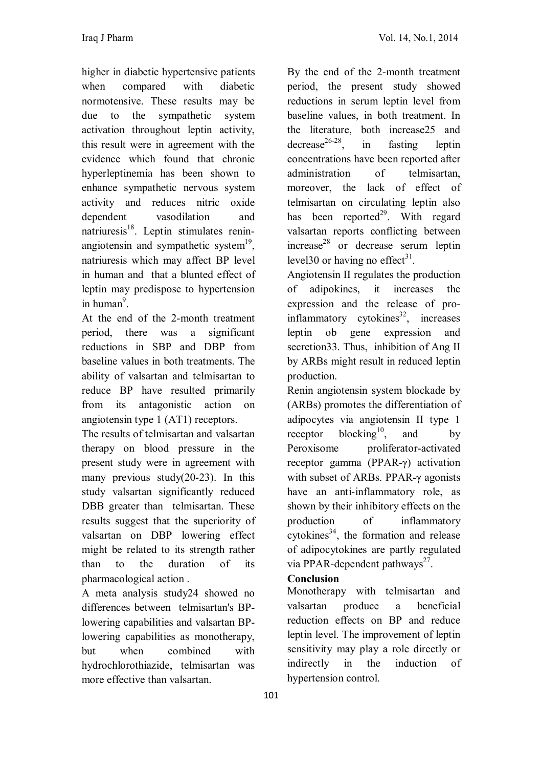higher in diabetic hypertensive patients when compared with diabetic normotensive. These results may be due to the sympathetic system activation throughout leptin activity, this result were in agreement with the evidence which found that chronic hyperleptinemia has been shown to enhance sympathetic nervous system activity and reduces nitric oxide dependent vasodilation and natriuresis<sup>18</sup>. Leptin stimulates reninangiotensin and sympathetic system<sup>19</sup>, natriuresis which may affect BP level in human and that a blunted effect of leptin may predispose to hypertension in human<sup>9</sup>.

At the end of the 2-month treatment period, there was a significant reductions in SBP and DBP from baseline values in both treatments. The ability of valsartan and telmisartan to reduce BP have resulted primarily from its antagonistic action on angiotensin type 1 (AT1) receptors.

The results of telmisartan and valsartan therapy on blood pressure in the present study were in agreement with many previous study(20-23). In this study valsartan significantly reduced DBB greater than telmisartan. These results suggest that the superiority of valsartan on DBP lowering effect might be related to its strength rather than to the duration of its pharmacological action .

A meta analysis study24 showed no differences between telmisartan's BPlowering capabilities and valsartan BPlowering capabilities as monotherapy, but when combined with hydrochlorothiazide, telmisartan was more effective than valsartan.

By the end of the 2-month treatment period, the present study showed reductions in serum leptin level from baseline values, in both treatment. In the literature, both increase25 and  $decrease<sup>26-28</sup>$ . , in fasting leptin concentrations have been reported after administration of telmisartan, moreover, the lack of effect of telmisartan on circulating leptin also has been reported<sup>29</sup>. With regard valsartan reports conflicting between increase<sup>28</sup> or decrease serum leptin level 30 or having no effect<sup>31</sup>.

Angiotensin II regulates the production of adipokines, it increases the expression and the release of proinflammatory cytokines<sup>32</sup>, increases leptin ob gene expression and secretion33. Thus, inhibition of Ang II by ARBs might result in reduced leptin production.

Renin angiotensin system blockade by (ARBs) promotes the differentiation of adipocytes via angiotensin II type 1 receptor  $blocking^{10}$ , and by Peroxisome proliferator-activated receptor gamma (PPAR-γ) activation with subset of ARBs. PPAR-γ agonists have an anti-inflammatory role, as shown by their inhibitory effects on the production of inflammatory cytokines<sup>34</sup>, the formation and release of adipocytokines are partly regulated via PPAR-dependent pathways<sup>27</sup>.

# **Conclusion**

Monotherapy with telmisartan and valsartan produce a beneficial reduction effects on BP and reduce leptin level. The improvement of leptin sensitivity may play a role directly or indirectly in the induction of hypertension control.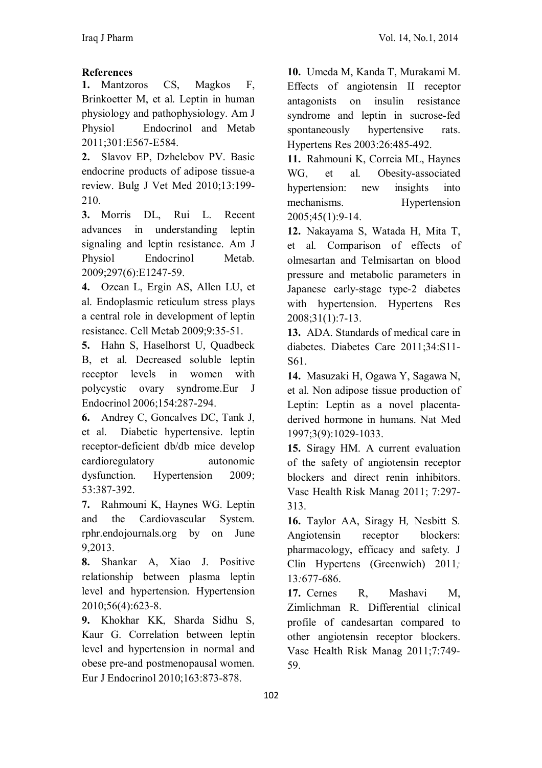## **References**

**1.** Mantzoros CS, Magkos F, Brinkoetter M, et al. Leptin in human physiology and pathophysiology. Am J Physiol Endocrinol and Metab 2011;301:E567-E584.

**2.** Slavov EP, Dzhelebov PV. Basic endocrine products of adipose tissue-a review. Bulg J Vet Med 2010;13:199- 210.

**3.** Morris DL, Rui L. Recent advances in understanding leptin signaling and leptin resistance. Am J Physiol Endocrinol Metab. 2009;297(6):E1247-59.

**4.** Ozcan L, Ergin AS, Allen LU, et al. Endoplasmic reticulum stress plays a central role in development of leptin resistance. Cell Metab 2009;9:35-51.

**5.** Hahn S, Haselhorst U, Quadbeck B, et al. Decreased soluble leptin receptor levels in women with polycystic ovary syndrome.Eur J Endocrinol 2006;154:287-294.

**6.** Andrey C, Goncalves DC, Tank J, et al. Diabetic hypertensive. leptin receptor-deficient db/db mice develop cardioregulatory autonomic dysfunction. Hypertension 2009; 53:387-392.

**7.** Rahmouni K, Haynes WG. Leptin and the Cardiovascular System. rphr.endojournals.org by on June 9,2013.

**8.** Shankar A, Xiao J. Positive relationship between plasma leptin level and hypertension. Hypertension 2010;56(4):623-8.

**9.** Khokhar KK, Sharda Sidhu S, Kaur G. Correlation between leptin level and hypertension in normal and obese pre-and postmenopausal women. Eur J Endocrinol 2010;163:873-878.

**10.** Umeda M, Kanda T, Murakami M. Effects of angiotensin II receptor antagonists on insulin resistance syndrome and leptin in sucrose-fed spontaneously hypertensive rats. Hypertens Res 2003:26:485-492.

**11.** Rahmouni K, Correia ML, Haynes WG, et al. Obesity-associated hypertension: new insights into mechanisms. Hypertension 2005;45(1):9-14.

**12.** Nakayama S, Watada H, Mita T, et al. Comparison of effects of olmesartan and Telmisartan on blood pressure and metabolic parameters in Japanese early-stage type-2 diabetes with hypertension. Hypertens Res 2008;31(1):7-13.

**13.** ADA. Standards of medical care in diabetes. Diabetes Care 2011;34:S11- S61.

**14.** Masuzaki H, Ogawa Y, Sagawa N, et al. Non adipose tissue production of Leptin: Leptin as a novel placentaderived hormone in humans. Nat Med 1997;3(9):1029-1033.

**15.** Siragy HM. A current evaluation of the safety of angiotensin receptor blockers and direct renin inhibitors. Vasc Health Risk Manag 2011; 7:297- 313.

**16.** Taylor AA, Siragy H*,* Nesbitt S*.*  Angiotensin receptor blockers: pharmacology, efficacy and safety*.* J Clin Hypertens (Greenwich) 2011*;* 13*:*677-686.

**17.** Cernes R, Mashavi M, Zimlichman R. Differential clinical profile of candesartan compared to other angiotensin receptor blockers. Vasc Health Risk Manag 2011;7:749- 59.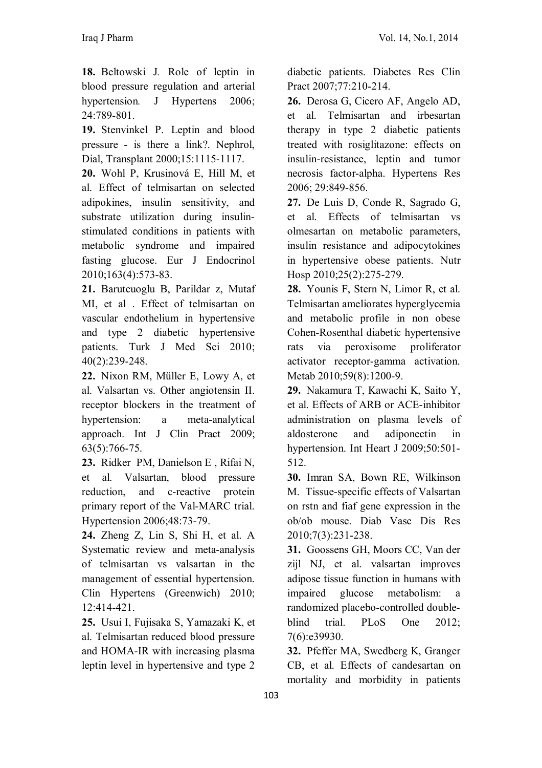**18.** Beltowski J*.* Role of leptin in blood pressure regulation and arterial hypertension*.* J Hypertens 2006; 24:789*-*801.

**19.** Stenvinkel P. Leptin and blood pressure - is there a link?. Nephrol, Dial, Transplant 2000;15:1115-1117.

**20.** Wohl P, Krusinová E, Hill M, et al. Effect of telmisartan on selected adipokines, insulin sensitivity, and substrate utilization during insulinstimulated conditions in patients with metabolic syndrome and impaired fasting glucose. Eur J Endocrinol 2010;163(4):573-83.

**21.** Barutcuoglu B, Parildar z, Mutaf MI, et al . Effect of telmisartan on vascular endothelium in hypertensive and type 2 diabetic hypertensive patients. Turk J Med Sci 2010; 40(2):239-248.

**22.** Nixon RM, Müller E, Lowy A, et al. Valsartan vs. Other angiotensin II. receptor blockers in the treatment of hypertension: a meta-analytical approach. Int J Clin Pract 2009; 63(5):766-75.

**23.** Ridker PM, Danielson E , Rifai N, et al. Valsartan, blood pressure reduction, and c-reactive protein primary report of the Val-MARC trial. Hypertension 2006;48:73-79.

**24.** Zheng Z, Lin S, Shi H, et al. A Systematic review and meta-analysis of telmisartan vs valsartan in the management of essential hypertension. Clin Hypertens (Greenwich) 2010; 12:414-421.

**25.** Usui I, Fujisaka S, Yamazaki K, et al. Telmisartan reduced blood pressure and HOMA-IR with increasing plasma leptin level in hypertensive and type 2

diabetic patients. Diabetes Res Clin Pract 2007;77:210-214.

**26.** Derosa G, Cicero AF, Angelo AD, et al. Telmisartan and irbesartan therapy in type 2 diabetic patients treated with rosiglitazone: effects on insulin-resistance, leptin and tumor necrosis factor-alpha. Hypertens Res 2006; 29:849-856.

**27.** De Luis D, Conde R, Sagrado G, et al. Effects of telmisartan vs olmesartan on metabolic parameters, insulin resistance and adipocytokines in hypertensive obese patients. Nutr Hosp 2010;25(2):275-279.

**28.** Younis F, Stern N, Limor R, et al. Telmisartan ameliorates hyperglycemia and metabolic profile in non obese Cohen-Rosenthal diabetic hypertensive rats via peroxisome proliferator activator receptor-gamma activation. Metab 2010;59(8):1200-9.

**29.** Nakamura T, Kawachi K, Saito Y, et al. Effects of ARB or ACE-inhibitor administration on plasma levels of aldosterone and adiponectin in hypertension. Int Heart J 2009;50:501- 512.

**30.** Imran SA, Bown RE, Wilkinson M. Tissue-specific effects of Valsartan on rstn and fiaf gene expression in the ob/ob mouse. Diab Vasc Dis Res 2010;7(3):231-238.

**31.** Goossens GH, Moors CC, Van der zijl NJ, et al. valsartan improves adipose tissue function in humans with impaired glucose metabolism: a randomized placebo-controlled doubleblind trial. PLoS One 2012; 7(6):e39930.

**32.** Pfeffer MA, Swedberg K, Granger CB, et al. Effects of candesartan on mortality and morbidity in patients